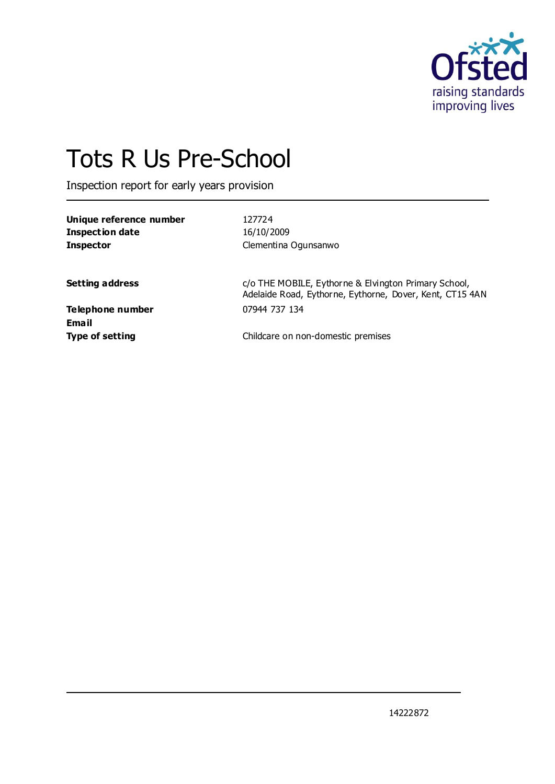

# Tots R Us Pre-School

Inspection report for early years provision

| Unique reference number | 127724               |  |
|-------------------------|----------------------|--|
| Inspection date         | 16/10/2009           |  |
| <b>Inspector</b>        | Clementina Ogunsanwo |  |
|                         |                      |  |

**Setting address Setting address c/o** THE MOBILE, Eythorne & Elvington Primary School, Adelaide Road, Eythorne, Eythorne, Dover, Kent, CT15 4AN

**Telephone number** 07944 737 134 **Email**

**Type of setting Childcare on non-domestic premises**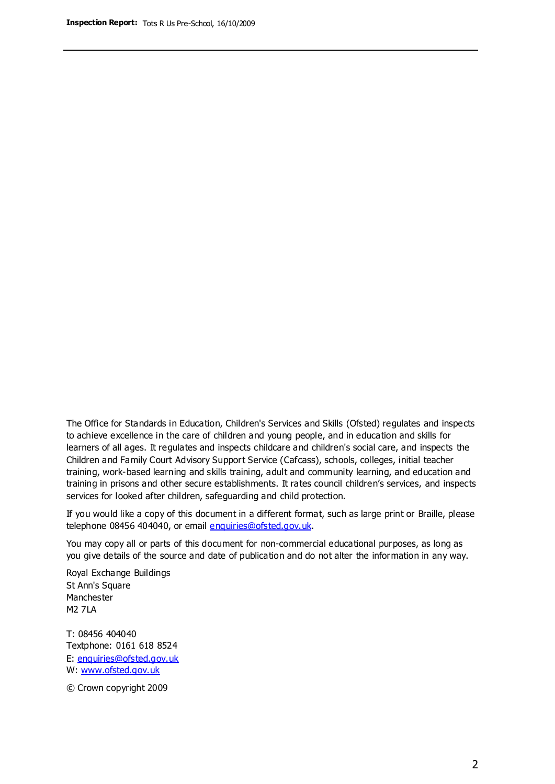The Office for Standards in Education, Children's Services and Skills (Ofsted) regulates and inspects to achieve excellence in the care of children and young people, and in education and skills for learners of all ages. It regulates and inspects childcare and children's social care, and inspects the Children and Family Court Advisory Support Service (Cafcass), schools, colleges, initial teacher training, work-based learning and skills training, adult and community learning, and education and training in prisons and other secure establishments. It rates council children's services, and inspects services for looked after children, safeguarding and child protection.

If you would like a copy of this document in a different format, such as large print or Braille, please telephone 08456 404040, or email enquiries@ofsted.gov.uk.

You may copy all or parts of this document for non-commercial educational purposes, as long as you give details of the source and date of publication and do not alter the information in any way.

Royal Exchange Buildings St Ann's Square Manchester M2 7LA

T: 08456 404040 Textphone: 0161 618 8524 E: enquiries@ofsted.gov.uk W: [www.ofsted.gov.uk](http://www.ofsted.gov.uk/)

© Crown copyright 2009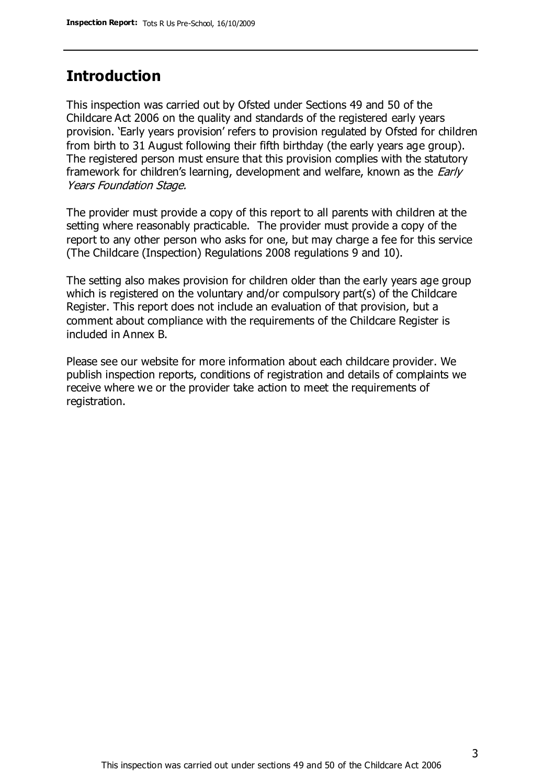## **Introduction**

This inspection was carried out by Ofsted under Sections 49 and 50 of the Childcare Act 2006 on the quality and standards of the registered early years provision. 'Early years provision' refers to provision regulated by Ofsted for children from birth to 31 August following their fifth birthday (the early years age group). The registered person must ensure that this provision complies with the statutory framework for children's learning, development and welfare, known as the *Early* Years Foundation Stage.

The provider must provide a copy of this report to all parents with children at the setting where reasonably practicable. The provider must provide a copy of the report to any other person who asks for one, but may charge a fee for this service (The Childcare (Inspection) Regulations 2008 regulations 9 and 10).

The setting also makes provision for children older than the early years age group which is registered on the voluntary and/or compulsory part(s) of the Childcare Register. This report does not include an evaluation of that provision, but a comment about compliance with the requirements of the Childcare Register is included in Annex B.

Please see our website for more information about each childcare provider. We publish inspection reports, conditions of registration and details of complaints we receive where we or the provider take action to meet the requirements of registration.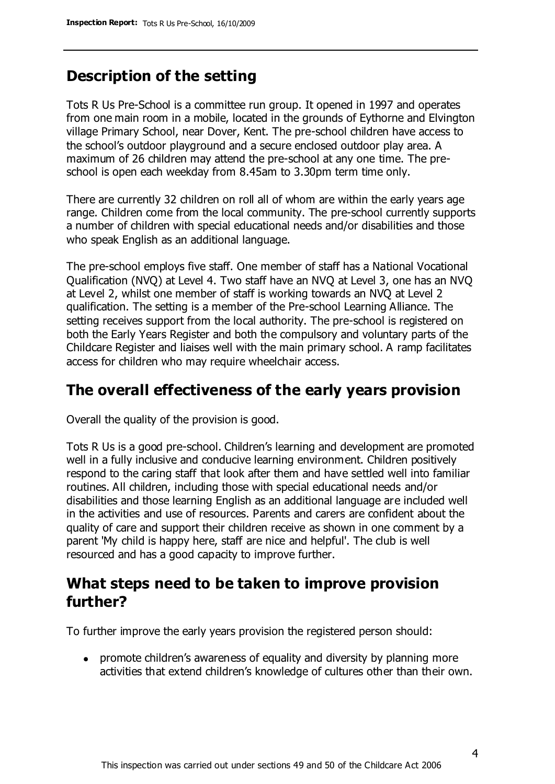## **Description of the setting**

Tots R Us Pre-School is a committee run group. It opened in 1997 and operates from one main room in a mobile, located in the grounds of Eythorne and Elvington village Primary School, near Dover, Kent. The pre-school children have access to the school's outdoor playground and a secure enclosed outdoor play area. A maximum of 26 children may attend the pre-school at any one time. The preschool is open each weekday from 8.45am to 3.30pm term time only.

There are currently 32 children on roll all of whom are within the early years age range. Children come from the local community. The pre-school currently supports a number of children with special educational needs and/or disabilities and those who speak English as an additional language.

The pre-school employs five staff. One member of staff has a National Vocational Qualification (NVQ) at Level 4. Two staff have an NVQ at Level 3, one has an NVQ at Level 2, whilst one member of staff is working towards an NVQ at Level 2 qualification. The setting is a member of the Pre-school Learning Alliance. The setting receives support from the local authority. The pre-school is registered on both the Early Years Register and both the compulsory and voluntary parts of the Childcare Register and liaises well with the main primary school. A ramp facilitates access for children who may require wheelchair access.

## **The overall effectiveness of the early years provision**

Overall the quality of the provision is good.

Tots R Us is a good pre-school. Children's learning and development are promoted well in a fully inclusive and conducive learning environment. Children positively respond to the caring staff that look after them and have settled well into familiar routines. All children, including those with special educational needs and/or disabilities and those learning English as an additional language are included well in the activities and use of resources. Parents and carers are confident about the quality of care and support their children receive as shown in one comment by a parent 'My child is happy here, staff are nice and helpful'. The club is well resourced and has a good capacity to improve further.

## **What steps need to be taken to improve provision further?**

To further improve the early years provision the registered person should:

promote children's awareness of equality and diversity by planning more activities that extend children's knowledge of cultures other than their own.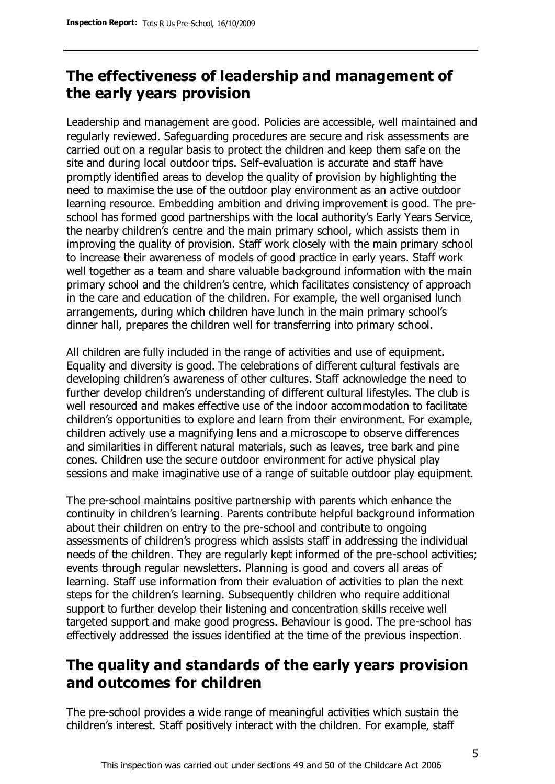# **The effectiveness of leadership and management of the early years provision**

Leadership and management are good. Policies are accessible, well maintained and regularly reviewed. Safeguarding procedures are secure and risk assessments are carried out on a regular basis to protect the children and keep them safe on the site and during local outdoor trips. Self-evaluation is accurate and staff have promptly identified areas to develop the quality of provision by highlighting the need to maximise the use of the outdoor play environment as an active outdoor learning resource. Embedding ambition and driving improvement is good. The preschool has formed good partnerships with the local authority's Early Years Service, the nearby children's centre and the main primary school, which assists them in improving the quality of provision. Staff work closely with the main primary school to increase their awareness of models of good practice in early years. Staff work well together as a team and share valuable background information with the main primary school and the children's centre, which facilitates consistency of approach in the care and education of the children. For example, the well organised lunch arrangements, during which children have lunch in the main primary school's dinner hall, prepares the children well for transferring into primary school.

All children are fully included in the range of activities and use of equipment. Equality and diversity is good. The celebrations of different cultural festivals are developing children's awareness of other cultures. Staff acknowledge the need to further develop children's understanding of different cultural lifestyles. The club is well resourced and makes effective use of the indoor accommodation to facilitate children's opportunities to explore and learn from their environment. For example, children actively use a magnifying lens and a microscope to observe differences and similarities in different natural materials, such as leaves, tree bark and pine cones. Children use the secure outdoor environment for active physical play sessions and make imaginative use of a range of suitable outdoor play equipment.

The pre-school maintains positive partnership with parents which enhance the continuity in children's learning. Parents contribute helpful background information about their children on entry to the pre-school and contribute to ongoing assessments of children's progress which assists staff in addressing the individual needs of the children. They are regularly kept informed of the pre-school activities; events through regular newsletters. Planning is good and covers all areas of learning. Staff use information from their evaluation of activities to plan the next steps for the children's learning. Subsequently children who require additional support to further develop their listening and concentration skills receive well targeted support and make good progress. Behaviour is good. The pre-school has effectively addressed the issues identified at the time of the previous inspection.

# **The quality and standards of the early years provision and outcomes for children**

The pre-school provides a wide range of meaningful activities which sustain the children's interest. Staff positively interact with the children. For example, staff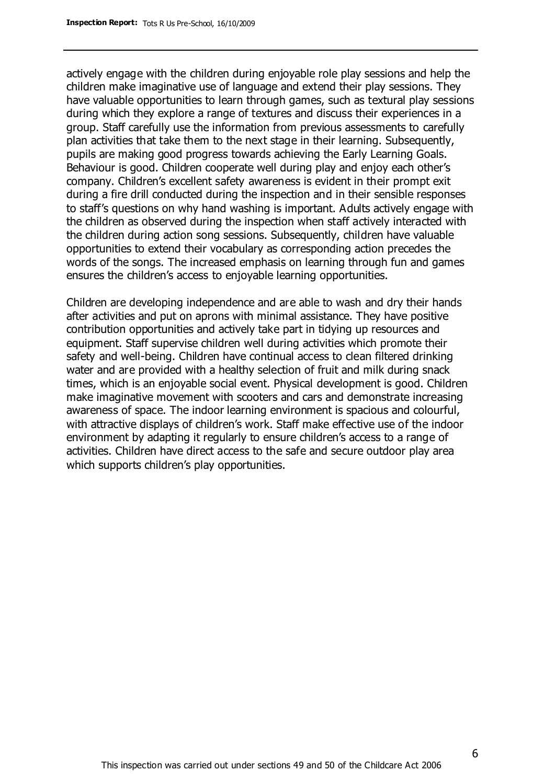actively engage with the children during enjoyable role play sessions and help the children make imaginative use of language and extend their play sessions. They have valuable opportunities to learn through games, such as textural play sessions during which they explore a range of textures and discuss their experiences in a group. Staff carefully use the information from previous assessments to carefully plan activities that take them to the next stage in their learning. Subsequently, pupils are making good progress towards achieving the Early Learning Goals. Behaviour is good. Children cooperate well during play and enjoy each other's company. Children's excellent safety awareness is evident in their prompt exit during a fire drill conducted during the inspection and in their sensible responses to staff's questions on why hand washing is important. Adults actively engage with the children as observed during the inspection when staff actively interacted with the children during action song sessions. Subsequently, children have valuable opportunities to extend their vocabulary as corresponding action precedes the words of the songs. The increased emphasis on learning through fun and games ensures the children's access to enjoyable learning opportunities.

Children are developing independence and are able to wash and dry their hands after activities and put on aprons with minimal assistance. They have positive contribution opportunities and actively take part in tidying up resources and equipment. Staff supervise children well during activities which promote their safety and well-being. Children have continual access to clean filtered drinking water and are provided with a healthy selection of fruit and milk during snack times, which is an enjoyable social event. Physical development is good. Children make imaginative movement with scooters and cars and demonstrate increasing awareness of space. The indoor learning environment is spacious and colourful, with attractive displays of children's work. Staff make effective use of the indoor environment by adapting it regularly to ensure children's access to a range of activities. Children have direct access to the safe and secure outdoor play area which supports children's play opportunities.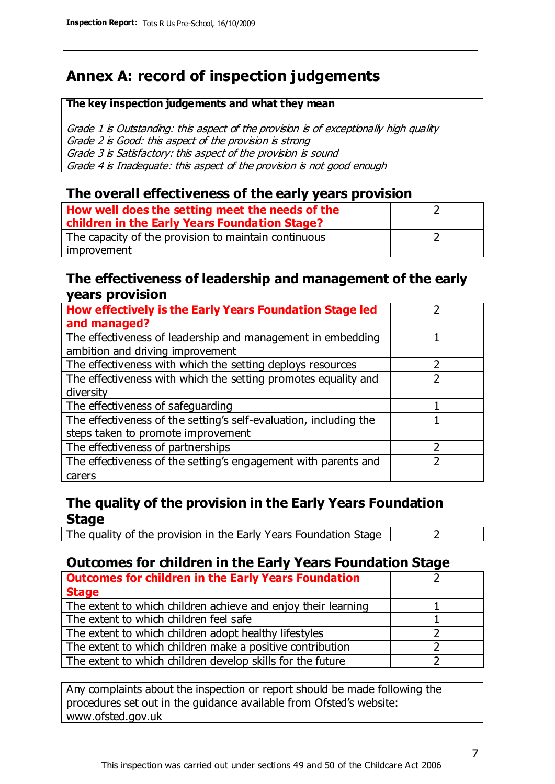# **Annex A: record of inspection judgements**

#### **The key inspection judgements and what they mean**

Grade 1 is Outstanding: this aspect of the provision is of exceptionally high quality Grade 2 is Good: this aspect of the provision is strong Grade 3 is Satisfactory: this aspect of the provision is sound Grade 4 is Inadequate: this aspect of the provision is not good enough

#### **The overall effectiveness of the early years provision**

| How well does the setting meet the needs of the      |  |
|------------------------------------------------------|--|
| children in the Early Years Foundation Stage?        |  |
| The capacity of the provision to maintain continuous |  |
| improvement                                          |  |

#### **The effectiveness of leadership and management of the early years provision**

| How effectively is the Early Years Foundation Stage led           |   |
|-------------------------------------------------------------------|---|
| and managed?                                                      |   |
| The effectiveness of leadership and management in embedding       |   |
| ambition and driving improvement                                  |   |
| The effectiveness with which the setting deploys resources        |   |
| The effectiveness with which the setting promotes equality and    |   |
| diversity                                                         |   |
| The effectiveness of safeguarding                                 |   |
| The effectiveness of the setting's self-evaluation, including the |   |
| steps taken to promote improvement                                |   |
| The effectiveness of partnerships                                 | 7 |
| The effectiveness of the setting's engagement with parents and    |   |
| carers                                                            |   |

#### **The quality of the provision in the Early Years Foundation Stage**

The quality of the provision in the Early Years Foundation Stage  $\vert$  2

### **Outcomes for children in the Early Years Foundation Stage**

| <b>Outcomes for children in the Early Years Foundation</b>    |  |
|---------------------------------------------------------------|--|
| <b>Stage</b>                                                  |  |
| The extent to which children achieve and enjoy their learning |  |
| The extent to which children feel safe                        |  |
| The extent to which children adopt healthy lifestyles         |  |
| The extent to which children make a positive contribution     |  |
| The extent to which children develop skills for the future    |  |
|                                                               |  |

Any complaints about the inspection or report should be made following the procedures set out in the guidance available from Ofsted's website: www.ofsted.gov.uk